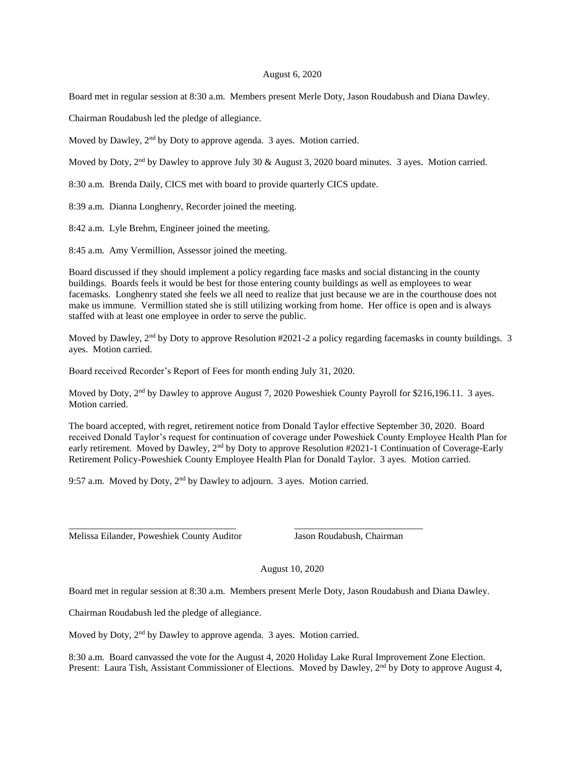## August 6, 2020

Board met in regular session at 8:30 a.m. Members present Merle Doty, Jason Roudabush and Diana Dawley.

Chairman Roudabush led the pledge of allegiance.

Moved by Dawley, 2<sup>nd</sup> by Doty to approve agenda. 3 ayes. Motion carried.

Moved by Doty, 2<sup>nd</sup> by Dawley to approve July 30 & August 3, 2020 board minutes. 3 ayes. Motion carried.

8:30 a.m. Brenda Daily, CICS met with board to provide quarterly CICS update.

8:39 a.m. Dianna Longhenry, Recorder joined the meeting.

8:42 a.m. Lyle Brehm, Engineer joined the meeting.

8:45 a.m. Amy Vermillion, Assessor joined the meeting.

Board discussed if they should implement a policy regarding face masks and social distancing in the county buildings. Boards feels it would be best for those entering county buildings as well as employees to wear facemasks. Longhenry stated she feels we all need to realize that just because we are in the courthouse does not make us immune. Vermillion stated she is still utilizing working from home. Her office is open and is always staffed with at least one employee in order to serve the public.

Moved by Dawley,  $2<sup>nd</sup>$  by Doty to approve Resolution #2021-2 a policy regarding facemasks in county buildings. 3 ayes. Motion carried.

Board received Recorder's Report of Fees for month ending July 31, 2020.

Moved by Doty, 2<sup>nd</sup> by Dawley to approve August 7, 2020 Poweshiek County Payroll for \$216,196.11. 3 ayes. Motion carried.

The board accepted, with regret, retirement notice from Donald Taylor effective September 30, 2020. Board received Donald Taylor's request for continuation of coverage under Poweshiek County Employee Health Plan for early retirement. Moved by Dawley, 2<sup>nd</sup> by Doty to approve Resolution #2021-1 Continuation of Coverage-Early Retirement Policy-Poweshiek County Employee Health Plan for Donald Taylor. 3 ayes. Motion carried.

9:57 a.m. Moved by Doty, 2<sup>nd</sup> by Dawley to adjourn. 3 ayes. Motion carried.

\_\_\_\_\_\_\_\_\_\_\_\_\_\_\_\_\_\_\_\_\_\_\_\_\_\_\_\_\_\_\_\_\_\_\_ \_\_\_\_\_\_\_\_\_\_\_\_\_\_\_\_\_\_\_\_\_\_\_\_\_\_\_

Melissa Eilander, Poweshiek County Auditor Jason Roudabush, Chairman

August 10, 2020

Board met in regular session at 8:30 a.m. Members present Merle Doty, Jason Roudabush and Diana Dawley.

Chairman Roudabush led the pledge of allegiance.

Moved by Doty, 2<sup>nd</sup> by Dawley to approve agenda. 3 ayes. Motion carried.

8:30 a.m. Board canvassed the vote for the August 4, 2020 Holiday Lake Rural Improvement Zone Election. Present: Laura Tish, Assistant Commissioner of Elections. Moved by Dawley, 2<sup>nd</sup> by Doty to approve August 4,